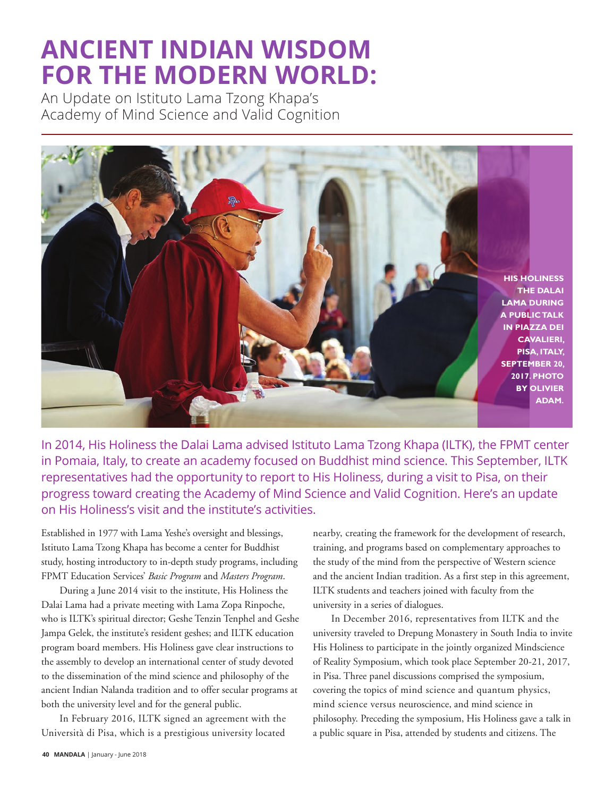## **ANCIENT INDIAN WISDOM FOR THE MODERN WORLD:**

An Update on Istituto Lama Tzong Khapa's Academy of Mind Science and Valid Cognition



In 2014, His Holiness the Dalai Lama advised Istituto Lama Tzong Khapa (ILTK), the FPMT center in Pomaia, Italy, to create an academy focused on Buddhist mind science. This September, ILTK representatives had the opportunity to report to His Holiness, during a visit to Pisa, on their progress toward creating the Academy of Mind Science and Valid Cognition. Here's an update on His Holiness's visit and the institute's activities.

Established in 1977 with Lama Yeshe's oversight and blessings, Istituto Lama Tzong Khapa has become a center for Buddhist study, hosting introductory to in-depth study programs, including FPMT Education Services' *Basic Program* and *Masters Program*.

During a June 2014 visit to the institute, His Holiness the Dalai Lama had a private meeting with Lama Zopa Rinpoche, who is ILTK's spiritual director; Geshe Tenzin Tenphel and Geshe Jampa Gelek, the institute's resident geshes; and ILTK education program board members. His Holiness gave clear instructions to the assembly to develop an international center of study devoted to the dissemination of the mind science and philosophy of the ancient Indian Nalanda tradition and to offer secular programs at both the university level and for the general public.

In February 2016, ILTK signed an agreement with the Università di Pisa, which is a prestigious university located nearby, creating the framework for the development of research, training, and programs based on complementary approaches to the study of the mind from the perspective of Western science and the ancient Indian tradition. As a first step in this agreement, ILTK students and teachers joined with faculty from the university in a series of dialogues.

In December 2016, representatives from ILTK and the university traveled to Drepung Monastery in South India to invite His Holiness to participate in the jointly organized Mindscience of Reality Symposium, which took place September 20-21, 2017, in Pisa. Three panel discussions comprised the symposium, covering the topics of mind science and quantum physics, mind science versus neuroscience, and mind science in philosophy. Preceding the symposium, His Holiness gave a talk in a public square in Pisa, attended by students and citizens. The